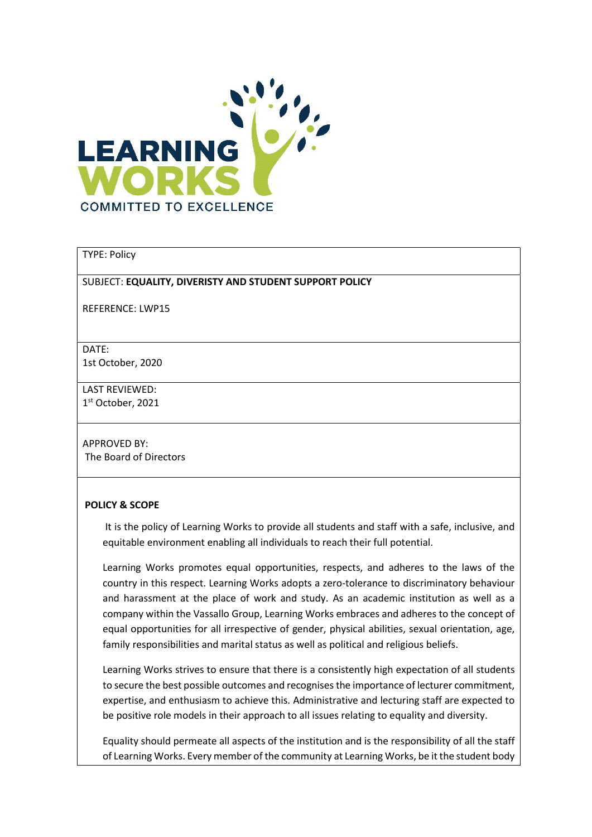

### TYPE: Policy

#### SUBJECT: EQUALITY, DIVERISTY AND STUDENT SUPPORT POLICY

REFERENCE: LWP15

DATE: 1st October, 2020

LAST REVIEWED: 1 st October, 2021

APPROVED BY: The Board of Directors

#### POLICY & SCOPE

 It is the policy of Learning Works to provide all students and staff with a safe, inclusive, and equitable environment enabling all individuals to reach their full potential.

Learning Works promotes equal opportunities, respects, and adheres to the laws of the country in this respect. Learning Works adopts a zero-tolerance to discriminatory behaviour and harassment at the place of work and study. As an academic institution as well as a company within the Vassallo Group, Learning Works embraces and adheres to the concept of equal opportunities for all irrespective of gender, physical abilities, sexual orientation, age, family responsibilities and marital status as well as political and religious beliefs.

Learning Works strives to ensure that there is a consistently high expectation of all students to secure the best possible outcomes and recognises the importance of lecturer commitment, expertise, and enthusiasm to achieve this. Administrative and lecturing staff are expected to be positive role models in their approach to all issues relating to equality and diversity.

Equality should permeate all aspects of the institution and is the responsibility of all the staff of Learning Works. Every member of the community at Learning Works, be it the student body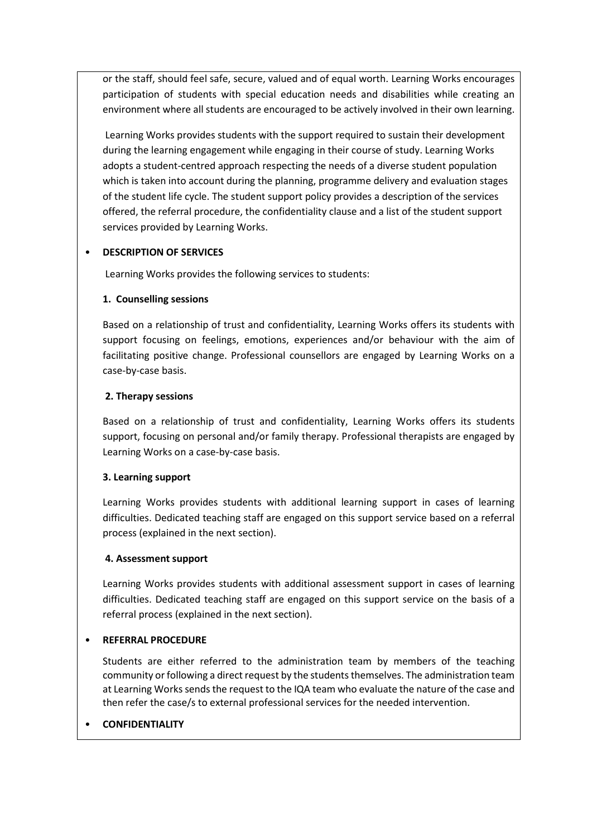or the staff, should feel safe, secure, valued and of equal worth. Learning Works encourages participation of students with special education needs and disabilities while creating an environment where all students are encouraged to be actively involved in their own learning.

 Learning Works provides students with the support required to sustain their development during the learning engagement while engaging in their course of study. Learning Works adopts a student-centred approach respecting the needs of a diverse student population which is taken into account during the planning, programme delivery and evaluation stages of the student life cycle. The student support policy provides a description of the services offered, the referral procedure, the confidentiality clause and a list of the student support services provided by Learning Works.

# • DESCRIPTION OF SERVICES

Learning Works provides the following services to students:

### 1. Counselling sessions

Based on a relationship of trust and confidentiality, Learning Works offers its students with support focusing on feelings, emotions, experiences and/or behaviour with the aim of facilitating positive change. Professional counsellors are engaged by Learning Works on a case-by-case basis.

### 2. Therapy sessions

Based on a relationship of trust and confidentiality, Learning Works offers its students support, focusing on personal and/or family therapy. Professional therapists are engaged by Learning Works on a case-by-case basis.

#### 3. Learning support

Learning Works provides students with additional learning support in cases of learning difficulties. Dedicated teaching staff are engaged on this support service based on a referral process (explained in the next section).

#### 4. Assessment support

Learning Works provides students with additional assessment support in cases of learning difficulties. Dedicated teaching staff are engaged on this support service on the basis of a referral process (explained in the next section).

# • REFERRAL PROCEDURE

Students are either referred to the administration team by members of the teaching community or following a direct request by the students themselves. The administration team at Learning Works sends the request to the IQA team who evaluate the nature of the case and then refer the case/s to external professional services for the needed intervention.

# **CONFIDENTIALITY**